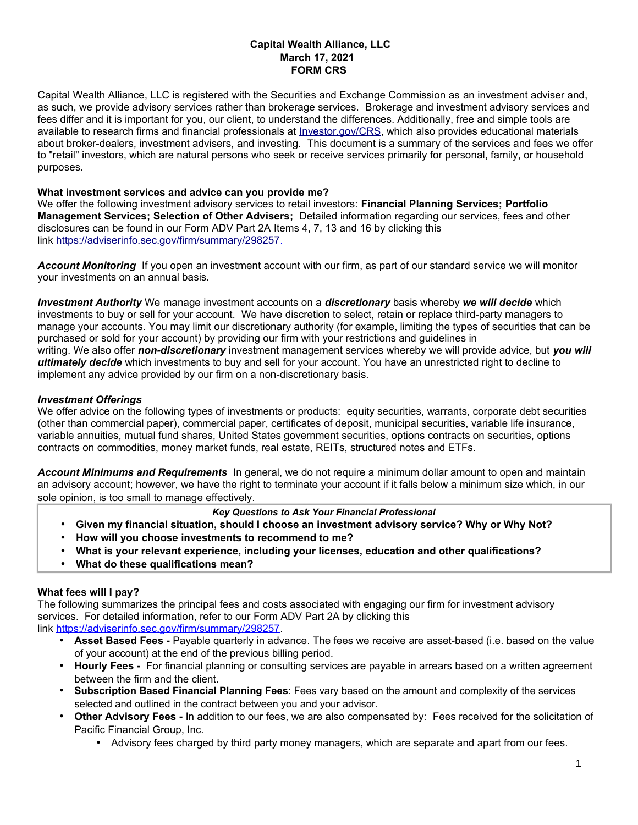# **Capital Wealth Alliance, LLC March 17, 2021 FORM CRS**

Capital Wealth Alliance, LLC is registered with the Securities and Exchange Commission as an investment adviser and, as such, we provide advisory services rather than brokerage services. Brokerage and investment advisory services and fees differ and it is important for you, our client, to understand the differences. Additionally, free and simple tools are available to research firms and financial professionals at *Investor.gov/CRS*, which also provides educational materials about broker-dealers, investment advisers, and investing. This document is a summary of the services and fees we offer to "retail" investors, which are natural persons who seek or receive services primarily for personal, family, or household purposes.

## **What investment services and advice can you provide me?**

We offer the following investment advisory services to retail investors: **Financial Planning Services; Portfolio Management Services; Selection of Other Advisers;** Detailed information regarding our services, fees and other disclosures can be found in our Form ADV Part 2A Items 4, 7, 13 and 16 by clicking this link [https://adviserinfo.sec.gov/firm/summary/298257.](https://adviserinfo.sec.gov/firm/summary/298257)

*Account Monitoring* If you open an investment account with our firm, as part of our standard service we will monitor your investments on an annual basis.

*Investment Authority* We manage investment accounts on a *discretionary* basis whereby *we will decide* which investments to buy or sell for your account. We have discretion to select, retain or replace third-party managers to manage your accounts. You may limit our discretionary authority (for example, limiting the types of securities that can be purchased or sold for your account) by providing our firm with your restrictions and guidelines in writing. We also offer *non-discretionary* investment management services whereby we will provide advice, but *you will ultimately decide* which investments to buy and sell for your account. You have an unrestricted right to decline to implement any advice provided by our firm on a non-discretionary basis.

## *Investment Offerings*

We offer advice on the following types of investments or products: equity securities, warrants, corporate debt securities (other than commercial paper), commercial paper, certificates of deposit, municipal securities, variable life insurance, variable annuities, mutual fund shares, United States government securities, options contracts on securities, options contracts on commodities, money market funds, real estate, REITs, structured notes and ETFs.

 *Account Minimums and Requirements* In general, we do not require a minimum dollar amount to open and maintain an advisory account; however, we have the right to terminate your account if it falls below a minimum size which, in our sole opinion, is too small to manage effectively.

# *Key Questions to Ask Your Financial Professional*

- **Given my financial situation, should I choose an investment advisory service? Why or Why Not?**
- **How will you choose investments to recommend to me?**
- **What is your relevant experience, including your licenses, education and other qualifications?**
- **What do these qualifications mean?**

# **What fees will I pay?**

The following summarizes the principal fees and costs associated with engaging our firm for investment advisory services. For detailed information, refer to our Form ADV Part 2A by clicking this link [https://adviserinfo.sec.gov/firm/summary/298257.](https://adviserinfo.sec.gov/firm/summary/298257)

- **Asset Based Fees -** Payable quarterly in advance. The fees we receive are asset-based (i.e. based on the value of your account) at the end of the previous billing period.
- **Hourly Fees -** For financial planning or consulting services are payable in arrears based on a written agreement between the firm and the client.
- **Subscription Based Financial Planning Fees**: Fees vary based on the amount and complexity of the services selected and outlined in the contract between you and your advisor.
- **Other Advisory Fees -** In addition to our fees, we are also compensated by: Fees received for the solicitation of Pacific Financial Group, Inc.
	- Advisory fees charged by third party money managers, which are separate and apart from our fees.